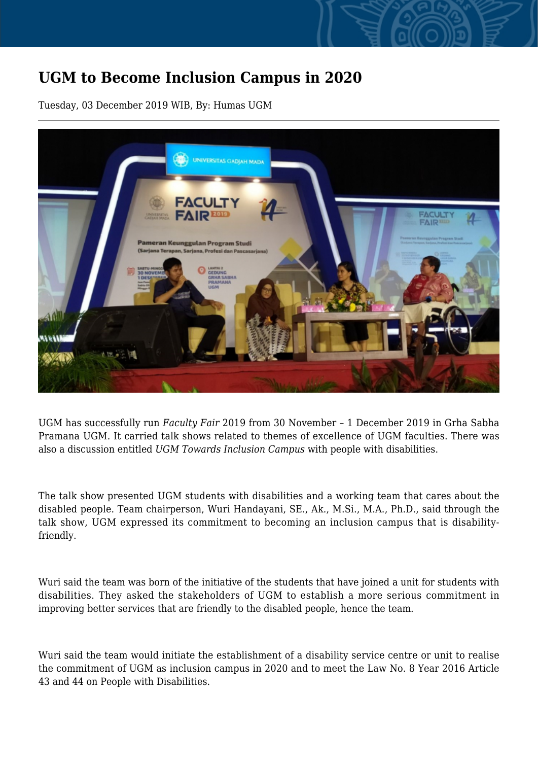## **UGM to Become Inclusion Campus in 2020**

Tuesday, 03 December 2019 WIB, By: Humas UGM



UGM has successfully run *Faculty Fair* 2019 from 30 November – 1 December 2019 in Grha Sabha Pramana UGM. It carried talk shows related to themes of excellence of UGM faculties. There was also a discussion entitled *UGM Towards Inclusion Campus* with people with disabilities.

The talk show presented UGM students with disabilities and a working team that cares about the disabled people. Team chairperson, Wuri Handayani, SE., Ak., M.Si., M.A., Ph.D., said through the talk show, UGM expressed its commitment to becoming an inclusion campus that is disabilityfriendly.

Wuri said the team was born of the initiative of the students that have joined a unit for students with disabilities. They asked the stakeholders of UGM to establish a more serious commitment in improving better services that are friendly to the disabled people, hence the team.

Wuri said the team would initiate the establishment of a disability service centre or unit to realise the commitment of UGM as inclusion campus in 2020 and to meet the Law No. 8 Year 2016 Article 43 and 44 on People with Disabilities.